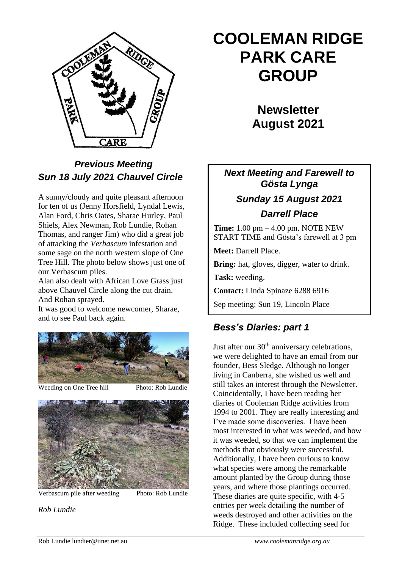

# *Previous Meeting Sun 18 July 2021 Chauvel Circle*

A sunny/cloudy and quite pleasant afternoon for ten of us (Jenny Horsfield, Lyndal Lewis, Alan Ford, Chris Oates, Sharae Hurley, Paul Shiels, Alex Newman, Rob Lundie, Rohan Thomas, and ranger Jim) who did a great job of attacking the *Verbascum* infestation and some sage on the north western slope of One Tree Hill. The photo below shows just one of our Verbascum piles.

Alan also dealt with African Love Grass just above Chauvel Circle along the cut drain. And Rohan sprayed.

It was good to welcome newcomer, Sharae, and to see Paul back again.



Weeding on One Tree hill Photo: Rob Lundie



Verbascum pile after weeding Photo: Rob Lundie

*Rob Lundie*

# **COOLEMAN RIDGE PARK CARE GROUP**

**Newsletter August 2021** 

# *Next Meeting and Farewell to Gösta Lynga Sunday 15 August 2021 Darrell Place*

**Time:** 1.00 pm – 4.00 pm. NOTE NEW START TIME and Gösta's farewell at 3 pm

**Meet:** Darrell Place.

**Bring:** hat, gloves, digger, water to drink.

**Task:** weeding.

**Contact:** Linda Spinaze 6288 6916

Sep meeting: Sun 19, Lincoln Place

# *Bess's Diaries: part 1*

Just after our  $30<sup>th</sup>$  anniversary celebrations, we were delighted to have an email from our founder, Bess Sledge. Although no longer living in Canberra, she wished us well and still takes an interest through the Newsletter. Coincidentally, I have been reading her diaries of Cooleman Ridge activities from 1994 to 2001. They are really interesting and I've made some discoveries. I have been most interested in what was weeded, and how it was weeded, so that we can implement the methods that obviously were successful. Additionally, I have been curious to know what species were among the remarkable amount planted by the Group during those years, and where those plantings occurred. These diaries are quite specific, with 4-5 entries per week detailing the number of weeds destroyed and other activities on the Ridge. These included collecting seed for